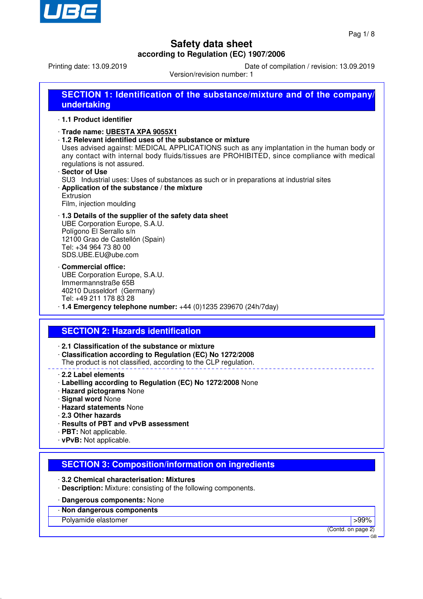

Printing date: 13.09.2019 Date of compilation / revision: 13.09.2019

Version/revision number: 1

| SECTION 1: Identification of the substance/mixture and of the company/<br>undertaking |  |
|---------------------------------------------------------------------------------------|--|
| 1.1 Product identifier                                                                |  |
| Trade name: UBESTA XPA 9055X1                                                         |  |

· **1.2 Relevant identified uses of the substance or mixture**

Uses advised against: MEDICAL APPLICATIONS such as any implantation in the human body or any contact with internal body fluids/tissues are PROHIBITED, since compliance with medical regulations is not assured.

· **Sector of Use** SU3 Industrial uses: Uses of substances as such or in preparations at industrial sites · **Application of the substance / the mixture** Extrusion

Film, injection moulding

#### · **1.3 Details of the supplier of the safety data sheet** UBE Corporation Europe, S.A.U. Polígono El Serrallo s/n 12100 Grao de Castellón (Spain) Tel: +34 964 73 80 00 SDS.UBE.EU@ube.com

- · **Commercial office:** UBE Corporation Europe, S.A.U. Immermannstraße 65B 40210 Dusseldorf (Germany) Tel: +49 211 178 83 28
- · **1.4 Emergency telephone number:** +44 (0)1235 239670 (24h/7day)

## **SECTION 2: Hazards identification**

- · **2.1 Classification of the substance or mixture**
- · **Classification according to Regulation (EC) No 1272/2008**
- The product is not classified, according to the CLP regulation.
- · **2.2 Label elements**
- · **Labelling according to Regulation (EC) No 1272/2008** None
- · **Hazard pictograms** None
- · **Signal word** None
- · **Hazard statements** None
- · **2.3 Other hazards**
- · **Results of PBT and vPvB assessment**
- · **PBT:** Not applicable.
- · **vPvB:** Not applicable.

## **SECTION 3: Composition/information on ingredients**

- · **3.2 Chemical characterisation: Mixtures**
- · **Description:** Mixture: consisting of the following components.

#### · **Dangerous components:** None

· **Non dangerous components**

Polyamide elastomer  $>99\%$ 

(Contd. on page 2)

GB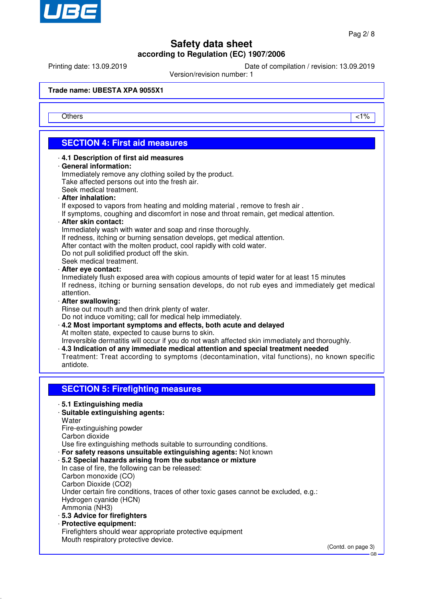

Printing date: 13.09.2019 Date of compilation / revision: 13.09.2019

Version/revision number: 1

**Trade name: UBESTA XPA 9055X1**

Others and the contract of the contract of the contract of the contract of the contract of the contract of the contract of the contract of the contract of the contract of the contract of the contract of the contract of the

# **SECTION 4: First aid measures**

#### · **4.1 Description of first aid measures**

#### · **General information:**

Immediately remove any clothing soiled by the product. Take affected persons out into the fresh air. Seek medical treatment.

· **After inhalation:**

If exposed to vapors from heating and molding material, remove to fresh air.

If symptoms, coughing and discomfort in nose and throat remain, get medical attention.

#### · **After skin contact:**

Immediately wash with water and soap and rinse thoroughly.

If redness, itching or burning sensation develops, get medical attention.

After contact with the molten product, cool rapidly with cold water.

Do not pull solidified product off the skin.

Seek medical treatment.

· **After eye contact:**

Inmediately flush exposed area with copious amounts of tepid water for at least 15 minutes If redness, itching or burning sensation develops, do not rub eyes and immediately get medical attention.

· **After swallowing:**

Rinse out mouth and then drink plenty of water.

Do not induce vomiting; call for medical help immediately.

· **4.2 Most important symptoms and effects, both acute and delayed** At molten state, expected to cause burns to skin.

Irreversible dermatitis will occur if you do not wash affected skin immediately and thoroughly.

· **4.3 Indication of any immediate medical attention and special treatment needed**

Treatment: Treat according to symptoms (decontamination, vital functions), no known specific antidote.

## **SECTION 5: Firefighting measures**

· **5.1 Extinguishing media**

## · **Suitable extinguishing agents:**

**Water** 

Fire-extinguishing powder

Carbon dioxide

Use fire extinguishing methods suitable to surrounding conditions.

· **For safety reasons unsuitable extinguishing agents:** Not known

#### · **5.2 Special hazards arising from the substance or mixture**

In case of fire, the following can be released: Carbon monoxide (CO) Carbon Dioxide (CO2) Under certain fire conditions, traces of other toxic gases cannot be excluded, e.g.: Hydrogen cyanide (HCN) Ammonia (NH3)

- · **5.3 Advice for firefighters**
- · **Protective equipment:** Firefighters should wear appropriate protective equipment Mouth respiratory protective device.

(Contd. on page 3)

GB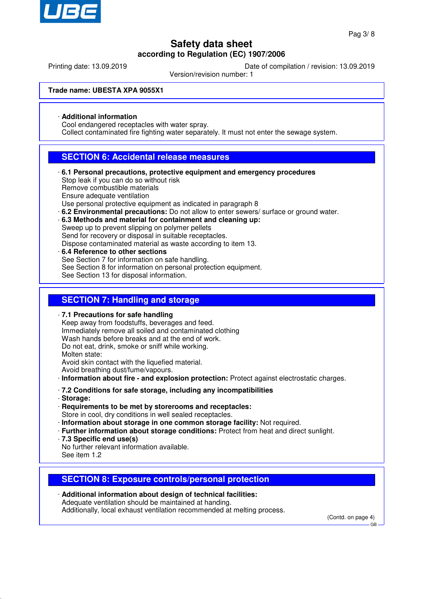

Printing date: 13.09.2019 Date of compilation / revision: 13.09.2019

Version/revision number: 1

**Trade name: UBESTA XPA 9055X1**

### · **Additional information**

Cool endangered receptacles with water spray.

Collect contaminated fire fighting water separately. It must not enter the sewage system.

## **SECTION 6: Accidental release measures**

- · **6.1 Personal precautions, protective equipment and emergency procedures** Stop leak if you can do so without risk Remove combustible materials Ensure adequate ventilation Use personal protective equipment as indicated in paragraph 8 · **6.2 Environmental precautions:** Do not allow to enter sewers/ surface or ground water.
- · **6.3 Methods and material for containment and cleaning up:** Sweep up to prevent slipping on polymer pellets Send for recovery or disposal in suitable receptacles.

Dispose contaminated material as waste according to item 13.

· **6.4 Reference to other sections** See Section 7 for information on safe handling. See Section 8 for information on personal protection equipment. See Section 13 for disposal information.

## **SECTION 7: Handling and storage**

· **7.1 Precautions for safe handling** Keep away from foodstuffs, beverages and feed. Immediately remove all soiled and contaminated clothing Wash hands before breaks and at the end of work. Do not eat, drink, smoke or sniff while working. Molten state: Avoid skin contact with the liquefied material. Avoid breathing dust/fume/vapours. · **Information about fire - and explosion protection:** Protect against electrostatic charges. · **7.2 Conditions for safe storage, including any incompatibilities** · **Storage:** · **Requirements to be met by storerooms and receptacles:** Store in cool, dry conditions in well sealed receptacles.

- · **Information about storage in one common storage facility:** Not required.
- · **Further information about storage conditions:** Protect from heat and direct sunlight.
- · **7.3 Specific end use(s)**

No further relevant information available. See item 1.2

## **SECTION 8: Exposure controls/personal protection**

· **Additional information about design of technical facilities:** Adequate ventilation should be maintained at handing. Additionally, local exhaust ventilation recommended at melting process.

(Contd. on page 4)

GB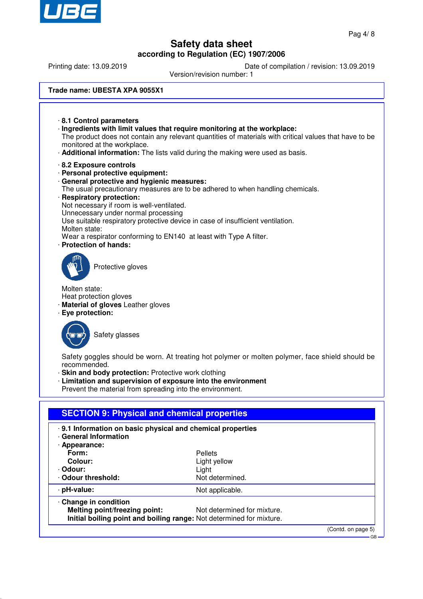

Printing date: 13.09.2019 Date of compilation / revision: 13.09.2019

Version/revision number: 1

#### **Trade name: UBESTA XPA 9055X1**

· **8.1 Control parameters** · **Ingredients with limit values that require monitoring at the workplace:** The product does not contain any relevant quantities of materials with critical values that have to be monitored at the workplace. · **Additional information:** The lists valid during the making were used as basis. · **8.2 Exposure controls** · **Personal protective equipment:** · **General protective and hygienic measures:** The usual precautionary measures are to be adhered to when handling chemicals. · **Respiratory protection:** Not necessary if room is well-ventilated. Unnecessary under normal processing Use suitable respiratory protective device in case of insufficient ventilation. Molten state: Wear a respirator conforming to EN140 at least with Type A filter. · **Protection of hands:** Protective gloves

Molten state:

- Heat protection gloves
- · **Material of gloves** Leather gloves
- · **Eye protection:**



Safety glasses

Safety goggles should be worn. At treating hot polymer or molten polymer, face shield should be recommended.

· **Skin and body protection:** Protective work clothing

· **Limitation and supervision of exposure into the environment**

Prevent the material from spreading into the environment.

| .9.1 Information on basic physical and chemical properties<br>· General Information |                             |  |
|-------------------------------------------------------------------------------------|-----------------------------|--|
| · Appearance:                                                                       |                             |  |
| Form:                                                                               | Pellets                     |  |
| Colour:                                                                             | Light yellow                |  |
| · Odour:                                                                            | Light                       |  |
| Odour threshold:                                                                    | Not determined.             |  |
| · pH-value:                                                                         | Not applicable.             |  |
| Change in condition                                                                 |                             |  |
| Melting point/freezing point:                                                       | Not determined for mixture. |  |
| Initial boiling point and boiling range: Not determined for mixture.                |                             |  |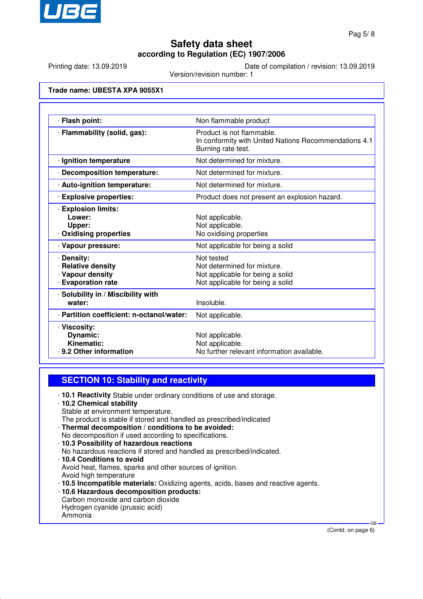

Printing date: 13.09.2019 Date of compilation / revision: 13.09.2019

Version/revision number: 1

#### **Trade name: UBESTA XPA 9055X1**

| · Flash point:                                                                  | Non flammable product                                                                                             |
|---------------------------------------------------------------------------------|-------------------------------------------------------------------------------------------------------------------|
| · Flammability (solid, gas):                                                    | Product is not flammable.<br>In conformity with United Nations Recommendations 4.1<br>Burning rate test.          |
| · Ignition temperature                                                          | Not determined for mixture.                                                                                       |
| · Decomposition temperature:                                                    | Not determined for mixture.                                                                                       |
| · Auto-ignition temperature:                                                    | Not determined for mixture.                                                                                       |
| <b>Explosive properties:</b>                                                    | Product does not present an explosion hazard.                                                                     |
| <b>Explosion limits:</b><br>Lower:<br>Upper:<br><b>Oxidising properties</b>     | Not applicable.<br>Not applicable.<br>No oxidising properties                                                     |
| · Vapour pressure:                                                              | Not applicable for being a solid                                                                                  |
| · Density:<br>· Relative density<br>· Vapour density<br><b>Evaporation rate</b> | Not tested<br>Not determined for mixture.<br>Not applicable for being a solid<br>Not applicable for being a solid |
| · Solubility in / Miscibility with<br>water:                                    | Insoluble.                                                                                                        |
| · Partition coefficient: n-octanol/water:                                       | Not applicable.                                                                                                   |
| · Viscosity:<br>Dynamic:<br>Kinematic:<br>9.2 Other information                 | Not applicable.<br>Not applicable.<br>No further relevant information available.                                  |

#### **SECTION 10: Stability and reactivity**

· **10.1 Reactivity** Stable under ordinary conditions of use and storage.

#### · **10.2 Chemical stability**

- Stable at environment temperature.
- The product is stable if stored and handled as prescribed/indicated
- · **Thermal decomposition / conditions to be avoided:** No decomposition if used according to specifications.
- · **10.3 Possibility of hazardous reactions**
- No hazardous reactions if stored and handled as prescribed/indicated.
- · **10.4 Conditions to avoid** Avoid heat, flames, sparks and other sources of ignition. Avoid high temperature · **10.5 Incompatible materials:** Oxidizing agents, acids, bases and reactive agents.
- · **10.6 Hazardous decomposition products:** Carbon monoxide and carbon dioxide
- Hydrogen cyanide (prussic acid)
- Ammonia

(Contd. on page 6)

GB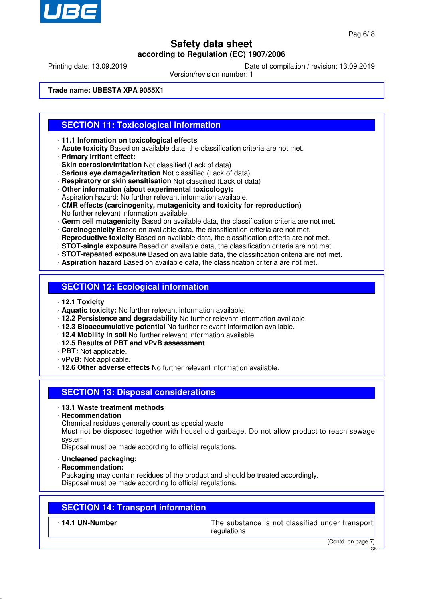

Printing date: 13.09.2019 Date of compilation / revision: 13.09.2019

Version/revision number: 1

**Trade name: UBESTA XPA 9055X1**

## **SECTION 11: Toxicological information**

- · **11.1 Information on toxicological effects**
- · **Acute toxicity** Based on available data, the classification criteria are not met.
- · **Primary irritant effect:**
- · **Skin corrosion/irritation** Not classified (Lack of data)
- · **Serious eye damage/irritation** Not classified (Lack of data)
- · **Respiratory or skin sensitisation** Not classified (Lack of data)
- · **Other information (about experimental toxicology):**
- Aspiration hazard: No further relevant information available.
- · **CMR effects (carcinogenity, mutagenicity and toxicity for reproduction)** No further relevant information available.
- · **Germ cell mutagenicity** Based on available data, the classification criteria are not met.
- · **Carcinogenicity** Based on available data, the classification criteria are not met.
- · **Reproductive toxicity** Based on available data, the classification criteria are not met.
- · **STOT-single exposure** Based on available data, the classification criteria are not met.
- · **STOT-repeated exposure** Based on available data, the classification criteria are not met.
- · **Aspiration hazard** Based on available data, the classification criteria are not met.

## **SECTION 12: Ecological information**

- · **12.1 Toxicity**
- · **Aquatic toxicity:** No further relevant information available.
- · **12.2 Persistence and degradability** No further relevant information available.
- · **12.3 Bioaccumulative potential** No further relevant information available.
- · **12.4 Mobility in soil** No further relevant information available.
- · **12.5 Results of PBT and vPvB assessment**
- · **PBT:** Not applicable.
- · **vPvB:** Not applicable.
- · **12.6 Other adverse effects** No further relevant information available.

## **SECTION 13: Disposal considerations**

#### · **13.1 Waste treatment methods**

· **Recommendation**

Chemical residues generally count as special waste

Must not be disposed together with household garbage. Do not allow product to reach sewage system.

Disposal must be made according to official regulations.

- · **Uncleaned packaging:**
- · **Recommendation:**

Packaging may contain residues of the product and should be treated accordingly. Disposal must be made according to official regulations.

## **SECTION 14: Transport information**

· **14.1 UN-Number** The substance is not classified under transport regulations

(Contd. on page 7)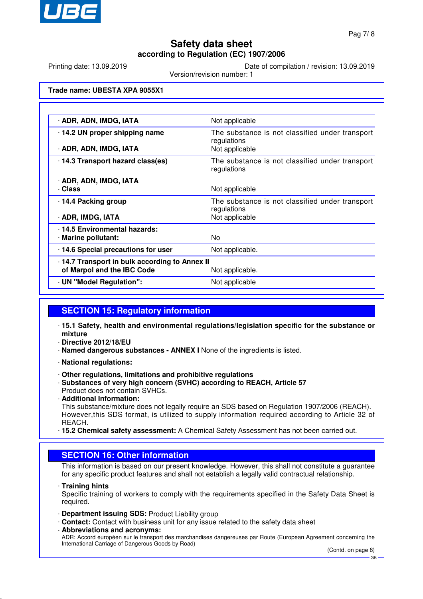

Printing date: 13.09.2019 Date of compilation / revision: 13.09.2019

Version/revision number: 1

#### **Trade name: UBESTA XPA 9055X1**

| · ADR, ADN, IMDG, IATA                       | Not applicable                                                 |  |
|----------------------------------------------|----------------------------------------------------------------|--|
| 14.2 UN proper shipping name                 | The substance is not classified under transport<br>regulations |  |
| · ADR, ADN, IMDG, IATA                       | Not applicable                                                 |  |
| 14.3 Transport hazard class(es)              | The substance is not classified under transport<br>regulations |  |
| · ADR, ADN, IMDG, IATA                       |                                                                |  |
| · Class                                      | Not applicable                                                 |  |
| 14.4 Packing group                           | The substance is not classified under transport<br>regulations |  |
| · ADR, IMDG, IATA                            | Not applicable                                                 |  |
| · 14.5 Environmental hazards:                |                                                                |  |
| · Marine pollutant:                          | No.                                                            |  |
| 14.6 Special precautions for user            | Not applicable.                                                |  |
| 14.7 Transport in bulk according to Annex II |                                                                |  |
| of Marpol and the IBC Code                   | Not applicable.                                                |  |
| · UN "Model Regulation":                     | Not applicable                                                 |  |

## **SECTION 15: Regulatory information**

- · **15.1 Safety, health and environmental regulations/legislation specific for the substance or mixture**
- · **Directive 2012/18/EU**
- · **Named dangerous substances ANNEX I** None of the ingredients is listed.
- · **National regulations:**
- · **Other regulations, limitations and prohibitive regulations**
- · **Substances of very high concern (SVHC) according to REACH, Article 57** Product does not contain SVHCs.
- · **Additional Information:**

This substance/mixture does not legally require an SDS based on Regulation 1907/2006 (REACH). However,this SDS format, is utilized to supply information required according to Article 32 of REACH.

· **15.2 Chemical safety assessment:** A Chemical Safety Assessment has not been carried out.

## **SECTION 16: Other information**

This information is based on our present knowledge. However, this shall not constitute a guarantee for any specific product features and shall not establish a legally valid contractual relationship.

· **Training hints**

Specific training of workers to comply with the requirements specified in the Safety Data Sheet is required.

- · **Department issuing SDS:** Product Liability group
- · **Contact:** Contact with business unit for any issue related to the safety data sheet
- · **Abbreviations and acronyms:**

ADR: Accord européen sur le transport des marchandises dangereuses par Route (European Agreement concerning the International Carriage of Dangerous Goods by Road)